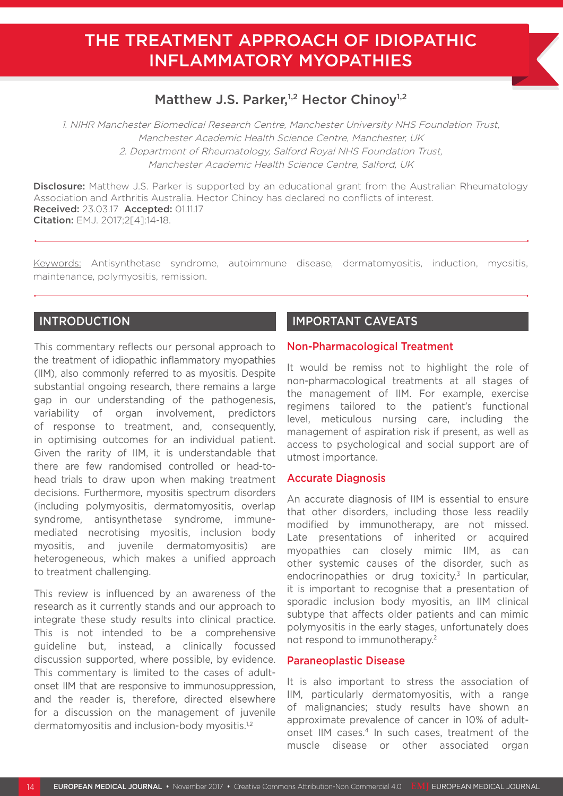# THE TREATMENT APPROACH OF IDIOPATHIC INFLAMMATORY MYOPATHIES

## Matthew J.S. Parker,<sup>1,2</sup> Hector Chinoy<sup>1,2</sup>

1. NIHR Manchester Biomedical Research Centre, Manchester University NHS Foundation Trust, Manchester Academic Health Science Centre, Manchester, UK 2. Department of Rheumatology, Salford Royal NHS Foundation Trust, Manchester Academic Health Science Centre, Salford, UK

**Disclosure:** Matthew J.S. Parker is supported by an educational grant from the Australian Rheumatology Association and Arthritis Australia. Hector Chinoy has declared no conflicts of interest. Received: 23.03.17 Accepted: 01.11.17 Citation: EMJ. 2017;2[4]:14-18.

Keywords: Antisynthetase syndrome, autoimmune disease, dermatomyositis, induction, myositis, maintenance, polymyositis, remission.

## INTRODUCTION

This commentary reflects our personal approach to the treatment of idiopathic inflammatory myopathies (IIM), also commonly referred to as myositis. Despite substantial ongoing research, there remains a large gap in our understanding of the pathogenesis, variability of organ involvement, predictors of response to treatment, and, consequently, in optimising outcomes for an individual patient. Given the rarity of IIM, it is understandable that there are few randomised controlled or head-tohead trials to draw upon when making treatment decisions. Furthermore, myositis spectrum disorders (including polymyositis, dermatomyositis, overlap syndrome, antisynthetase syndrome, immunemediated necrotising myositis, inclusion body myositis, and juvenile dermatomyositis) are heterogeneous, which makes a unified approach to treatment challenging.

This review is influenced by an awareness of the research as it currently stands and our approach to integrate these study results into clinical practice. This is not intended to be a comprehensive guideline but, instead, a clinically focussed discussion supported, where possible, by evidence. This commentary is limited to the cases of adultonset IIM that are responsive to immunosuppression, and the reader is, therefore, directed elsewhere for a discussion on the management of juvenile dermatomyositis and inclusion-body myositis.<sup>1,2</sup>

## IMPORTANT CAVEATS

#### Non-Pharmacological Treatment

It would be remiss not to highlight the role of non-pharmacological treatments at all stages of the management of IIM. For example, exercise regimens tailored to the patient's functional level, meticulous nursing care, including the management of aspiration risk if present, as well as access to psychological and social support are of utmost importance.

#### Accurate Diagnosis

An accurate diagnosis of IIM is essential to ensure that other disorders, including those less readily modified by immunotherapy, are not missed. Late presentations of inherited or acquired myopathies can closely mimic IIM, as can other systemic causes of the disorder, such as endocrinopathies or drug toxicity.<sup>3</sup> In particular, it is important to recognise that a presentation of sporadic inclusion body myositis, an IIM clinical subtype that affects older patients and can mimic polymyositis in the early stages, unfortunately does not respond to immunotherapy.2

#### Paraneoplastic Disease

It is also important to stress the association of IIM, particularly dermatomyositis, with a range of malignancies; study results have shown an approximate prevalence of cancer in 10% of adultonset IIM cases.<sup>4</sup> In such cases, treatment of the muscle disease or other associated organ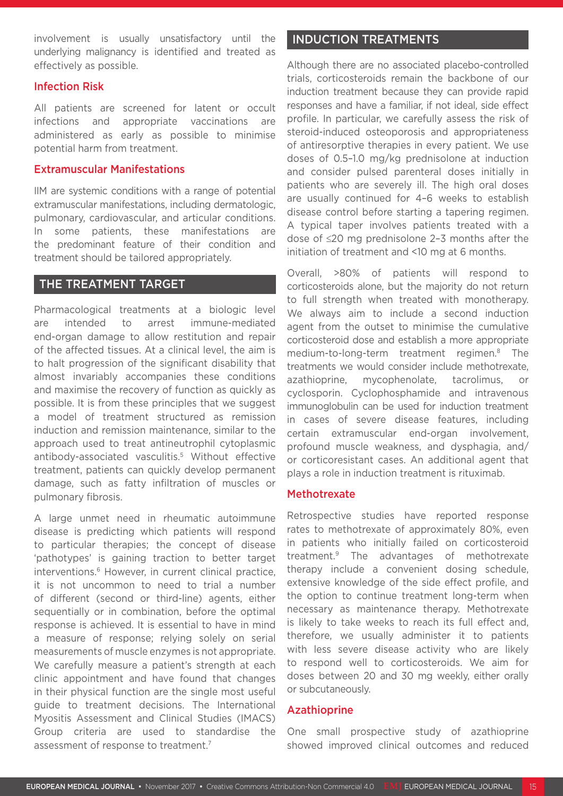involvement is usually unsatisfactory until the underlying malignancy is identified and treated as effectively as possible.

#### Infection Risk

All patients are screened for latent or occult infections and appropriate vaccinations are administered as early as possible to minimise potential harm from treatment.

#### Extramuscular Manifestations

IIM are systemic conditions with a range of potential extramuscular manifestations, including dermatologic, pulmonary, cardiovascular, and articular conditions. In some patients, these manifestations are the predominant feature of their condition and treatment should be tailored appropriately.

## THE TREATMENT TARGET

Pharmacological treatments at a biologic level are intended to arrest immune-mediated end-organ damage to allow restitution and repair of the affected tissues. At a clinical level, the aim is to halt progression of the significant disability that almost invariably accompanies these conditions and maximise the recovery of function as quickly as possible. It is from these principles that we suggest a model of treatment structured as remission induction and remission maintenance, similar to the approach used to treat antineutrophil cytoplasmic antibody-associated vasculitis.5 Without effective treatment, patients can quickly develop permanent damage, such as fatty infiltration of muscles or pulmonary fibrosis.

A large unmet need in rheumatic autoimmune disease is predicting which patients will respond to particular therapies; the concept of disease 'pathotypes' is gaining traction to better target interventions.<sup>6</sup> However, in current clinical practice, it is not uncommon to need to trial a number of different (second or third-line) agents, either sequentially or in combination, before the optimal response is achieved. It is essential to have in mind a measure of response; relying solely on serial measurements of muscle enzymes is not appropriate. We carefully measure a patient's strength at each clinic appointment and have found that changes in their physical function are the single most useful guide to treatment decisions. The International Myositis Assessment and Clinical Studies (IMACS) Group criteria are used to standardise the assessment of response to treatment.<sup>7</sup>

## INDUCTION TREATMENTS

Although there are no associated placebo-controlled trials, corticosteroids remain the backbone of our induction treatment because they can provide rapid responses and have a familiar, if not ideal, side effect profile. In particular, we carefully assess the risk of steroid-induced osteoporosis and appropriateness of antiresorptive therapies in every patient. We use doses of 0.5–1.0 mg/kg prednisolone at induction and consider pulsed parenteral doses initially in patients who are severely ill. The high oral doses are usually continued for 4–6 weeks to establish disease control before starting a tapering regimen. A typical taper involves patients treated with a dose of ≤20 mg prednisolone 2–3 months after the initiation of treatment and <10 mg at 6 months.

Overall, >80% of patients will respond to corticosteroids alone, but the majority do not return to full strength when treated with monotherapy. We always aim to include a second induction agent from the outset to minimise the cumulative corticosteroid dose and establish a more appropriate medium-to-long-term treatment regimen.8 The treatments we would consider include methotrexate, azathioprine, mycophenolate, tacrolimus, or cyclosporin. Cyclophosphamide and intravenous immunoglobulin can be used for induction treatment in cases of severe disease features, including certain extramuscular end-organ involvement, profound muscle weakness, and dysphagia, and/ or corticoresistant cases. An additional agent that plays a role in induction treatment is rituximab.

#### **Methotrexate**

Retrospective studies have reported response rates to methotrexate of approximately 80%, even in patients who initially failed on corticosteroid treatment.9 The advantages of methotrexate therapy include a convenient dosing schedule, extensive knowledge of the side effect profile, and the option to continue treatment long-term when necessary as maintenance therapy. Methotrexate is likely to take weeks to reach its full effect and, therefore, we usually administer it to patients with less severe disease activity who are likely to respond well to corticosteroids. We aim for doses between 20 and 30 mg weekly, either orally or subcutaneously.

#### Azathioprine

One small prospective study of azathioprine showed improved clinical outcomes and reduced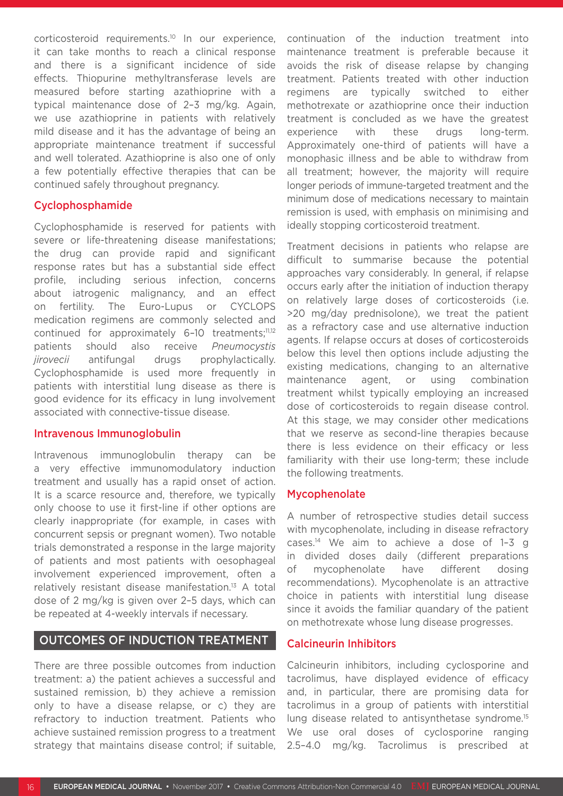corticosteroid requirements.10 In our experience, it can take months to reach a clinical response and there is a significant incidence of side effects. Thiopurine methyltransferase levels are measured before starting azathioprine with a typical maintenance dose of 2–3 mg/kg. Again, we use azathioprine in patients with relatively mild disease and it has the advantage of being an appropriate maintenance treatment if successful and well tolerated. Azathioprine is also one of only a few potentially effective therapies that can be continued safely throughout pregnancy.

#### Cyclophosphamide

Cyclophosphamide is reserved for patients with severe or life-threatening disease manifestations; the drug can provide rapid and significant response rates but has a substantial side effect profile, including serious infection, concerns about iatrogenic malignancy, and an effect on fertility. The Euro-Lupus or CYCLOPS medication regimens are commonly selected and continued for approximately 6-10 treatments;<sup>11,12</sup> patients should also receive *Pneumocystis jirovecii* antifungal drugs prophylactically. Cyclophosphamide is used more frequently in patients with interstitial lung disease as there is good evidence for its efficacy in lung involvement associated with connective-tissue disease.

#### Intravenous Immunoglobulin

Intravenous immunoglobulin therapy can be a very effective immunomodulatory induction treatment and usually has a rapid onset of action. It is a scarce resource and, therefore, we typically only choose to use it first-line if other options are clearly inappropriate (for example, in cases with concurrent sepsis or pregnant women). Two notable trials demonstrated a response in the large majority of patients and most patients with oesophageal involvement experienced improvement, often a relatively resistant disease manifestation.13 A total dose of 2 mg/kg is given over 2–5 days, which can be repeated at 4-weekly intervals if necessary.

#### OUTCOMES OF INDUCTION TREATMENT

There are three possible outcomes from induction treatment: a) the patient achieves a successful and sustained remission, b) they achieve a remission only to have a disease relapse, or c) they are refractory to induction treatment. Patients who achieve sustained remission progress to a treatment strategy that maintains disease control; if suitable, continuation of the induction treatment into maintenance treatment is preferable because it avoids the risk of disease relapse by changing treatment. Patients treated with other induction regimens are typically switched to either methotrexate or azathioprine once their induction treatment is concluded as we have the greatest experience with these drugs long-term. Approximately one-third of patients will have a monophasic illness and be able to withdraw from all treatment; however, the majority will require longer periods of immune-targeted treatment and the minimum dose of medications necessary to maintain remission is used, with emphasis on minimising and ideally stopping corticosteroid treatment.

Treatment decisions in patients who relapse are difficult to summarise because the potential approaches vary considerably. In general, if relapse occurs early after the initiation of induction therapy on relatively large doses of corticosteroids (i.e. >20 mg/day prednisolone), we treat the patient as a refractory case and use alternative induction agents. If relapse occurs at doses of corticosteroids below this level then options include adjusting the existing medications, changing to an alternative maintenance agent, or using combination treatment whilst typically employing an increased dose of corticosteroids to regain disease control. At this stage, we may consider other medications that we reserve as second-line therapies because there is less evidence on their efficacy or less familiarity with their use long-term; these include the following treatments.

#### Mycophenolate

A number of retrospective studies detail success with mycophenolate, including in disease refractory cases.14 We aim to achieve a dose of 1–3 g in divided doses daily (different preparations of mycophenolate have different dosing recommendations). Mycophenolate is an attractive choice in patients with interstitial lung disease since it avoids the familiar quandary of the patient on methotrexate whose lung disease progresses.

#### Calcineurin Inhibitors

Calcineurin inhibitors, including cyclosporine and tacrolimus, have displayed evidence of efficacy and, in particular, there are promising data for tacrolimus in a group of patients with interstitial lung disease related to antisynthetase syndrome.<sup>15</sup> We use oral doses of cyclosporine ranging 2.5–4.0 mg/kg. Tacrolimus is prescribed at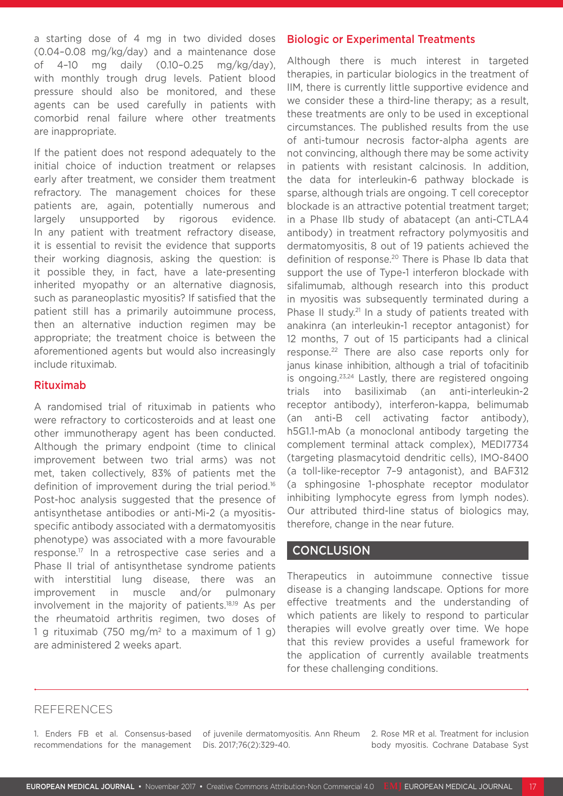a starting dose of 4 mg in two divided doses (0.04–0.08 mg/kg/day) and a maintenance dose of 4–10 mg daily (0.10–0.25 mg/kg/day), with monthly trough drug levels. Patient blood pressure should also be monitored, and these agents can be used carefully in patients with comorbid renal failure where other treatments are inappropriate.

If the patient does not respond adequately to the initial choice of induction treatment or relapses early after treatment, we consider them treatment refractory. The management choices for these patients are, again, potentially numerous and largely unsupported by rigorous evidence. In any patient with treatment refractory disease, it is essential to revisit the evidence that supports their working diagnosis, asking the question: is it possible they, in fact, have a late-presenting inherited myopathy or an alternative diagnosis, such as paraneoplastic myositis? If satisfied that the patient still has a primarily autoimmune process, then an alternative induction regimen may be appropriate; the treatment choice is between the aforementioned agents but would also increasingly include rituximab.

#### Rituximab

A randomised trial of rituximab in patients who were refractory to corticosteroids and at least one other immunotherapy agent has been conducted. Although the primary endpoint (time to clinical improvement between two trial arms) was not met, taken collectively, 83% of patients met the definition of improvement during the trial period.<sup>16</sup> Post-hoc analysis suggested that the presence of antisynthetase antibodies or anti-Mi-2 (a myositisspecific antibody associated with a dermatomyositis phenotype) was associated with a more favourable response.17 In a retrospective case series and a Phase II trial of antisynthetase syndrome patients with interstitial lung disease, there was an improvement in muscle and/or pulmonary involvement in the majority of patients.18,19 As per the rheumatoid arthritis regimen, two doses of 1 g rituximab (750 mg/m<sup>2</sup> to a maximum of 1 g) are administered 2 weeks apart.

#### Biologic or Experimental Treatments

Although there is much interest in targeted therapies, in particular biologics in the treatment of IIM, there is currently little supportive evidence and we consider these a third-line therapy; as a result, these treatments are only to be used in exceptional circumstances. The published results from the use of anti-tumour necrosis factor-alpha agents are not convincing, although there may be some activity in patients with resistant calcinosis. In addition, the data for interleukin-6 pathway blockade is sparse, although trials are ongoing. T cell coreceptor blockade is an attractive potential treatment target; in a Phase IIb study of abatacept (an anti-CTLA4 antibody) in treatment refractory polymyositis and dermatomyositis, 8 out of 19 patients achieved the definition of response.<sup>20</sup> There is Phase Ib data that support the use of Type-1 interferon blockade with sifalimumab, although research into this product in myositis was subsequently terminated during a Phase II study.<sup>21</sup> In a study of patients treated with anakinra (an interleukin-1 receptor antagonist) for 12 months, 7 out of 15 participants had a clinical response.22 There are also case reports only for janus kinase inhibition, although a trial of tofacitinib is ongoing.23,24 Lastly, there are registered ongoing trials into basiliximab (an anti-interleukin-2 receptor antibody), interferon-kappa, belimumab (an anti-B cell activating factor antibody), h5G1.1-mAb (a monoclonal antibody targeting the complement terminal attack complex), MEDI7734 (targeting plasmacytoid dendritic cells), IMO-8400 (a toll-like-receptor 7–9 antagonist), and BAF312 (a sphingosine 1-phosphate receptor modulator inhibiting lymphocyte egress from lymph nodes). Our attributed third-line status of biologics may, therefore, change in the near future.

### **CONCLUSION**

Therapeutics in autoimmune connective tissue disease is a changing landscape. Options for more effective treatments and the understanding of which patients are likely to respond to particular therapies will evolve greatly over time. We hope that this review provides a useful framework for the application of currently available treatments for these challenging conditions.

### REFERENCES

1. Enders FB et al. Consensus-based recommendations for the management Dis. 2017;76(2):329-40.

of juvenile dermatomyositis. Ann Rheum 2. Rose MR et al. Treatment for inclusion body myositis. Cochrane Database Syst